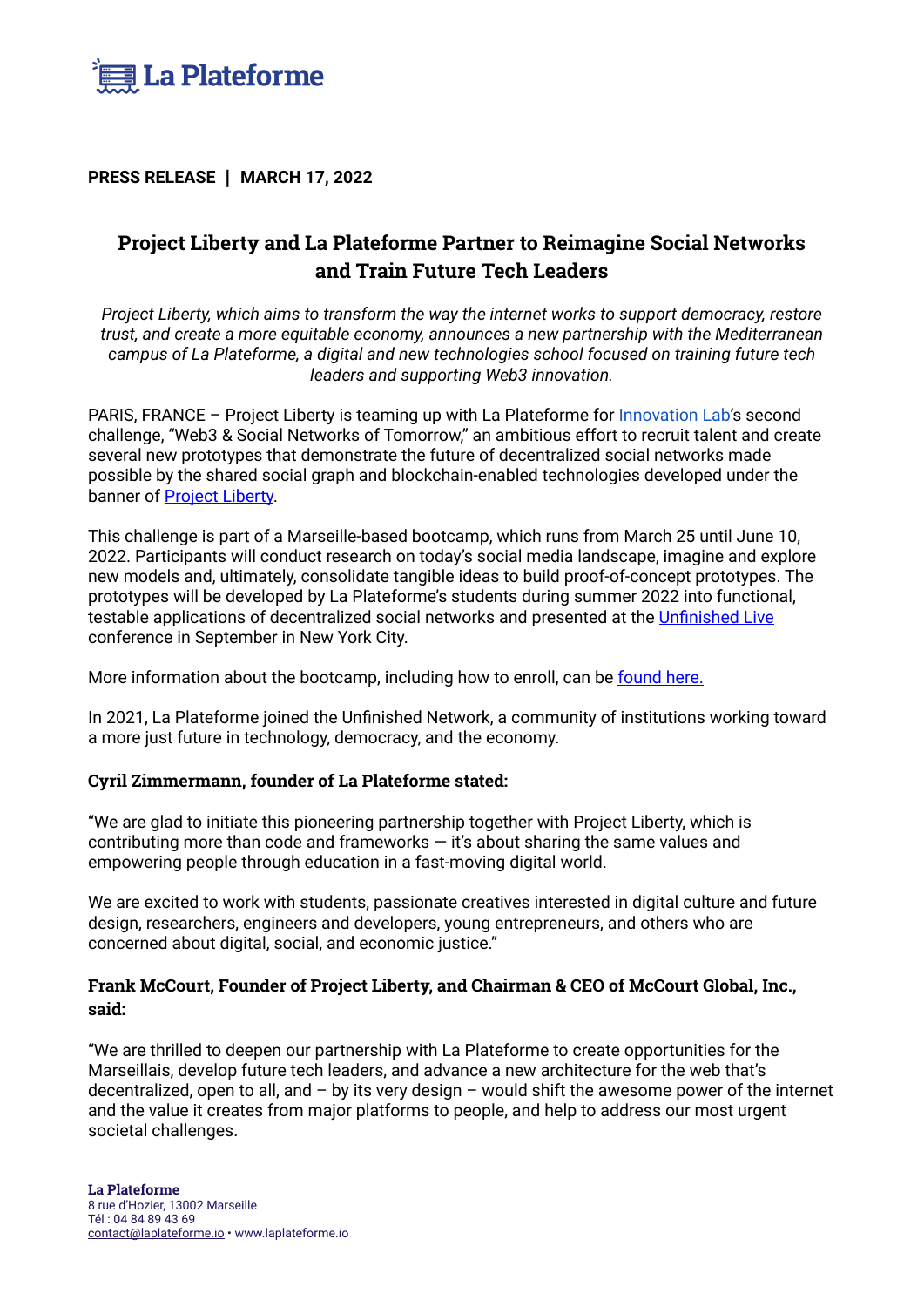

**PRESS RELEASE ┃ MARCH 17, 2022** 

# **Project Liberty and La Plateforme Partner to Reimagine Social Networks and Train Future Tech Leaders**

*Project Liberty, which aims to transform the way the internet works to support democracy, restore trust, and create a more equitable economy, announces a new partnership with the Mediterranean campus of La Plateforme, a digital and new technologies school focused on training future tech leaders and supporting Web3 innovation.*

PARIS, FRANCE - Project Liberty is teaming up with La Plateforme for **[Innovation Lab'](https://laplateforme.io/en/innovation-lab-ep2/)s second** challenge, "Web3 & Social Networks of Tomorrow," an ambitious effort to recruit talent and create several new prototypes that demonstrate the future of decentralized social networks made possible by the shared social graph and blockchain-enabled technologies developed under the banner of [Project Liberty.](https://www.projectliberty.io/)

This challenge is part of a Marseille-based bootcamp, which runs from March 25 until June 10, 2022. Participants will conduct research on today's social media landscape, imagine and explore new models and, ultimately, consolidate tangible ideas to build proof-of-concept prototypes. The prototypes will be developed by La Plateforme's students during summer 2022 into functional, testable applications of decentralized social networks and presented at the [Unfinished Live](https://unfinished.com/unfinished-live/) conference in September in New York City.

More information about the bootcamp, including how to enroll, can be [found here.](https://laplateforme.io/en/innovation-lab-ep2/)

In 2021, La Plateforme joined the Unfinished Network, a community of institutions working toward a more just future in technology, democracy, and the economy.

## **Cyril Zimmermann, founder of La Plateforme stated:**

"We are glad to initiate this pioneering partnership together with Project Liberty, which is contributing more than code and frameworks  $-$  it's about sharing the same values and empowering people through education in a fast-moving digital world.

We are excited to work with students, passionate creatives interested in digital culture and future design, researchers, engineers and developers, young entrepreneurs, and others who are concerned about digital, social, and economic justice."

# **Frank McCourt, Founder of Project Liberty, and Chairman & CEO of McCourt Global, Inc., said:**

"We are thrilled to deepen our partnership with La Plateforme to create opportunities for the Marseillais, develop future tech leaders, and advance a new architecture for the web that's decentralized, open to all, and – by its very design – would shift the awesome power of the internet and the value it creates from major platforms to people, and help to address our most urgent societal challenges.